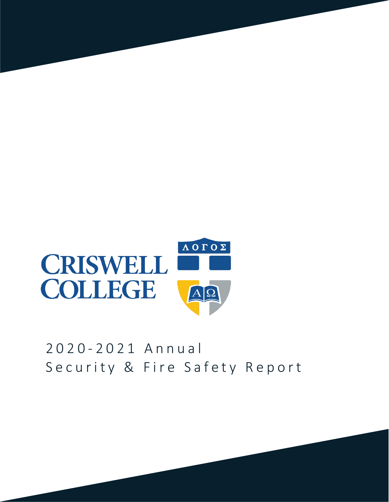

# 2 0 2 0 - 2 0 2 1 A n n u a l Security & Fire Safety Report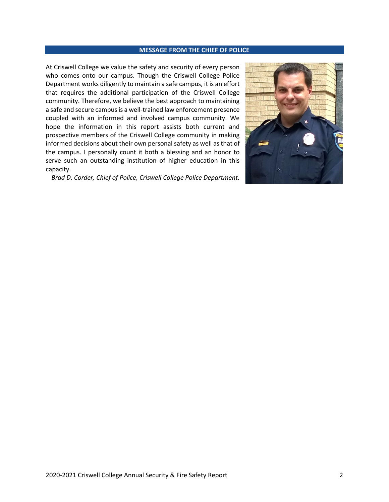#### **MESSAGE FROM THE CHIEF OF POLICE**

At Criswell College we value the safety and security of every person who comes onto our campus. Though the Criswell College Police Department works diligently to maintain a safe campus, it is an effort that requires the additional participation of the Criswell College community. Therefore, we believe the best approach to maintaining a safe and secure campus is a well-trained law enforcement presence coupled with an informed and involved campus community. We hope the information in this report assists both current and prospective members of the Criswell College community in making informed decisions about their own personal safety as well as that of the campus. I personally count it both a blessing and an honor to serve such an outstanding institution of higher education in this capacity.

*Brad D. Corder, Chief of Police, Criswell College Police Department.*

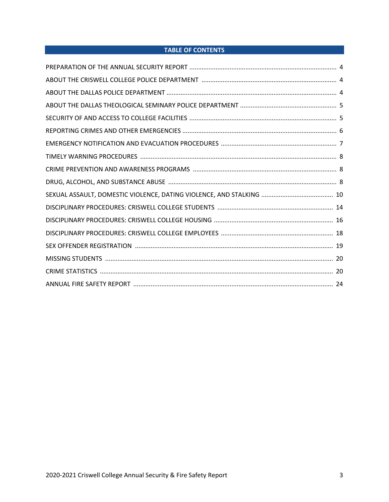# **TABLE OF CONTENTS**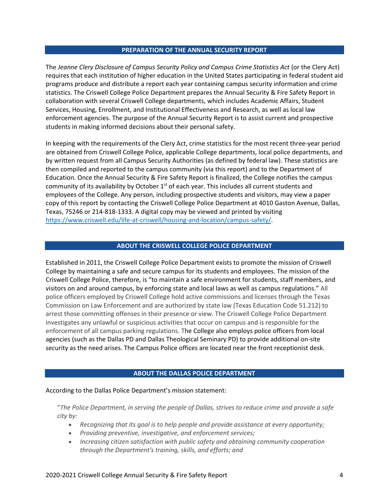#### **PREPARATION OF THE ANNUAL SECURITY REPORT**

The *Jeanne Clery Disclosure of Campus Security Policy and Campus Crime Statistics Act* (or the Clery Act) requires that each institution of higher education in the United States participating in federal student aid programs produce and distribute a report each year containing campus security information and crime statistics. The Criswell College Police Department prepares the Annual Security & Fire Safety Report in collaboration with several Criswell College departments, which includes Academic Affairs, Student Services, Housing, Enrollment, and Institutional Effectiveness and Research, as well as local law enforcement agencies. The purpose of the Annual Security Report is to assist current and prospective students in making informed decisions about their personal safety.

In keeping with the requirements of the Clery Act, crime statistics for the most recent three-year period are obtained from Criswell College Police, applicable College departments, local police departments, and by written request from all Campus Security Authorities (as defined by federal law). These statistics are then compiled and reported to the campus community (via this report) and to the Department of Education. Once the Annual Security & Fire Safety Report is finalized, the College notifies the campus community of its availability by October 1<sup>st</sup> of each year. This includes all current students and employees of the College. Any person, including prospective students and visitors, may view a paper copy of this report by contacting the Criswell College Police Department at 4010 Gaston Avenue, Dallas, Texas, 75246 or 214-818-1333. A digital copy may be viewed and printed by visiting [https://www.criswell.edu/life-at-criswell/housing-and-location/campus-safety/.](https://www.criswell.edu/life-at-criswell/housing-and-location/campus-safety/)

#### **ABOUT THE CRISWELL COLLEGE POLICE DEPARTMENT**

Established in 2011, the Criswell College Police Department exists to promote the mission of Criswell College by maintaining a safe and secure campus for its students and employees. The mission of the Criswell College Police, therefore, is "to maintain a safe environment for students, staff members, and visitors on and around campus, by enforcing state and local laws as well as campus regulations." All police officers employed by Criswell College hold active commissions and licenses through the Texas Commission on Law Enforcement and are authorized by state law (Texas Education Code 51.212) to arrest those committing offenses in their presence or view. The Criswell College Police Department investigates any unlawful or suspicious activities that occur on campus and is responsible for the enforcement of all campus parking regulations. The College also employs police officers from local agencies (such as the Dallas PD and Dallas Theological Seminary PD) to provide additional on-site security as the need arises. The Campus Police offices are located near the front receptionist desk.

# **ABOUT THE DALLAS POLICE DEPARTMENT**

#### According to the Dallas Police Department's mission statement:

"*The Police Department, in serving the people of Dallas, strives to reduce crime and provide a safe city by:*

- *Recognizing that its goal is to help people and provide assistance at every opportunity;*
- *Providing preventive, investigative, and enforcement services;*
- *Increasing citizen satisfaction with public safety and obtaining community cooperation through the Department's training, skills, and efforts; and*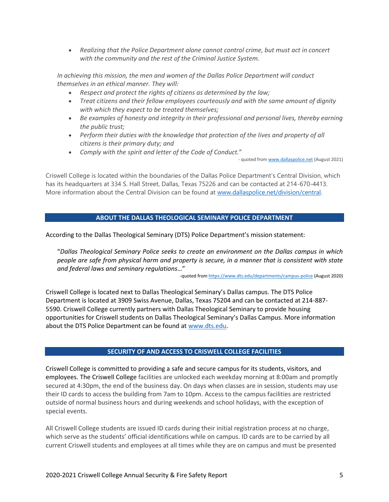• *Realizing that the Police Department alone cannot control crime, but must act in concert with the community and the rest of the Criminal Justice System.*

*In achieving this mission, the men and women of the Dallas Police Department will conduct themselves in an ethical manner. They will:*

- *Respect and protect the rights of citizens as determined by the law;*
- *Treat citizens and their fellow employees courteously and with the same amount of dignity with which they expect to be treated themselves;*
- *Be examples of honesty and integrity in their professional and personal lives, thereby earning the public trust;*
- *Perform their duties with the knowledge that protection of the lives and property of all citizens is their primary duty; and*
- *Comply with the spirit and letter of the Code of Conduct.*"

- quoted fro[m www.dallaspolice.net](http://www.dallaspolice.net/) (August 2021)

Criswell College is located within the boundaries of the Dallas Police Department's Central Division, which has its headquarters at 334 S. Hall Street, Dallas, Texas 75226 and can be contacted at 214-670-4413. More information about the Central Division can be found at [www.dallaspolice.net/division/central.](http://www.dallaspolice.net/division/central) 

# **ABOUT THE DALLAS THEOLOGICAL SEMINARY POLICE DEPARTMENT**

According to the Dallas Theological Seminary (DTS) Police Department's mission statement:

"*Dallas Theological Seminary Police seeks to create an environment on the Dallas campus in which people are safe from physical harm and property is secure, in a manner that is consistent with state and federal laws and seminary regulations*…"

-quoted fro[m https://www.dts.edu/departments/campus-police](https://www.dts.edu/departments/campus-police) (August 2020)

Criswell College is located next to Dallas Theological Seminary's Dallas campus. The DTS Police Department is located at 3909 Swiss Avenue, Dallas, Texas 75204 and can be contacted at 214-887- 5590. Criswell College currently partners with Dallas Theological Seminary to provide housing opportunities for Criswell students on Dallas Theological Seminary's Dallas Campus. More information about the DTS Police Department can be found at [www.dts.edu.](http://www.dts.edu/)

# **SECURITY OF AND ACCESS TO CRISWELL COLLEGE FACILITIES**

Criswell College is committed to providing a safe and secure campus for its students, visitors, and employees. The Criswell College facilities are unlocked each weekday morning at 8:00am and promptly secured at 4:30pm, the end of the business day. On days when classes are in session, students may use their ID cards to access the building from 7am to 10pm. Access to the campus facilities are restricted outside of normal business hours and during weekends and school holidays, with the exception of special events.

All Criswell College students are issued ID cards during their initial registration process at no charge, which serve as the students' official identifications while on campus. ID cards are to be carried by all current Criswell students and employees at all times while they are on campus and must be presented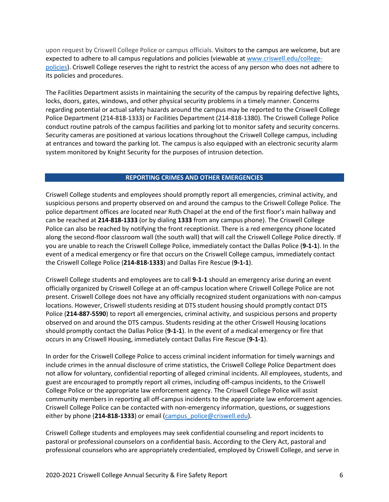upon request by Criswell College Police or campus officials. Visitors to the campus are welcome, but are expected to adhere to all campus regulations and policies (viewable a[t www.criswell.edu/college](http://www.criswell.edu/college-policies)[policies\)](http://www.criswell.edu/college-policies). Criswell College reserves the right to restrict the access of any person who does not adhere to its policies and procedures.

The Facilities Department assists in maintaining the security of the campus by repairing defective lights, locks, doors, gates, windows, and other physical security problems in a timely manner. Concerns regarding potential or actual safety hazards around the campus may be reported to the Criswell College Police Department (214-818-1333) or Facilities Department (214-818-1380). The Criswell College Police conduct routine patrols of the campus facilities and parking lot to monitor safety and security concerns. Security cameras are positioned at various locations throughout the Criswell College campus, including at entrances and toward the parking lot. The campus is also equipped with an electronic security alarm system monitored by Knight Security for the purposes of intrusion detection.

#### **REPORTING CRIMES AND OTHER EMERGENCIES**

Criswell College students and employees should promptly report all emergencies, criminal activity, and suspicious persons and property observed on and around the campus to the Criswell College Police. The police department offices are located near Ruth Chapel at the end of the first floor's main hallway and can be reached at **214-818-1333** (or by dialing **1333** from any campus phone). The Criswell College Police can also be reached by notifying the front receptionist. There is a red emergency phone located along the second-floor classroom wall (the south wall) that will call the Criswell College Police directly. If you are unable to reach the Criswell College Police, immediately contact the Dallas Police (**9-1-1**). In the event of a medical emergency or fire that occurs on the Criswell College campus, immediately contact the Criswell College Police (**214-818-1333**) and Dallas Fire Rescue (**9-1-1**).

Criswell College students and employees are to call **9-1-1** should an emergency arise during an event officially organized by Criswell College at an off-campus location where Criswell College Police are not present. Criswell College does not have any officially recognized student organizations with non-campus locations. However, Criswell students residing at DTS student housing should promptly contact DTS Police (**214-887-5590**) to report all emergencies, criminal activity, and suspicious persons and property observed on and around the DTS campus. Students residing at the other Criswell Housing locations should promptly contact the Dallas Police (**9-1-1**). In the event of a medical emergency or fire that occurs in any Criswell Housing, immediately contact Dallas Fire Rescue (**9-1-1**).

In order for the Criswell College Police to access criminal incident information for timely warnings and include crimes in the annual disclosure of crime statistics, the Criswell College Police Department does not allow for voluntary, confidential reporting of alleged criminal incidents. All employees, students, and guest are encouraged to promptly report all crimes, including off-campus incidents, to the Criswell College Police or the appropriate law enforcement agency. The Criswell College Police will assist community members in reporting all off-campus incidents to the appropriate law enforcement agencies. Criswell College Police can be contacted with non-emergency information, questions, or suggestions either by phone (**214-818-1333**) or email [\(campus\\_police@criswell.edu\)](mailto:campus_police@criswell.edu).

Criswell College students and employees may seek confidential counseling and report incidents to pastoral or professional counselors on a confidential basis. According to the Clery Act, pastoral and professional counselors who are appropriately credentialed, employed by Criswell College, and serve in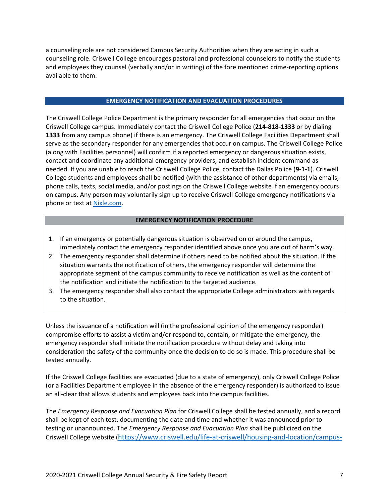a counseling role are not considered Campus Security Authorities when they are acting in such a counseling role. Criswell College encourages pastoral and professional counselors to notify the students and employees they counsel (verbally and/or in writing) of the fore mentioned crime-reporting options available to them.

# **EMERGENCY NOTIFICATION AND EVACUATION PROCEDURES**

The Criswell College Police Department is the primary responder for all emergencies that occur on the Criswell College campus. Immediately contact the Criswell College Police (**214-818-1333** or by dialing **1333** from any campus phone) if there is an emergency. The Criswell College Facilities Department shall serve as the secondary responder for any emergencies that occur on campus. The Criswell College Police (along with Facilities personnel) will confirm if a reported emergency or dangerous situation exists, contact and coordinate any additional emergency providers, and establish incident command as needed. If you are unable to reach the Criswell College Police, contact the Dallas Police (**9-1-1**). Criswell College students and employees shall be notified (with the assistance of other departments) via emails, phone calls, texts, social media, and/or postings on the Criswell College website if an emergency occurs on campus. Any person may voluntarily sign up to receive Criswell College emergency notifications via phone or text a[t Nixle.com.](http://www.nixle.com/)

# **EMERGENCY NOTIFICATION PROCEDURE**

- 1. If an emergency or potentially dangerous situation is observed on or around the campus, immediately contact the emergency responder identified above once you are out of harm's way.
- 2. The emergency responder shall determine if others need to be notified about the situation. If the situation warrants the notification of others, the emergency responder will determine the appropriate segment of the campus community to receive notification as well as the content of the notification and initiate the notification to the targeted audience.
- 3. The emergency responder shall also contact the appropriate College administrators with regards to the situation.

Unless the issuance of a notification will (in the professional opinion of the emergency responder) compromise efforts to assist a victim and/or respond to, contain, or mitigate the emergency, the emergency responder shall initiate the notification procedure without delay and taking into consideration the safety of the community once the decision to do so is made. This procedure shall be tested annually.

If the Criswell College facilities are evacuated (due to a state of emergency), only Criswell College Police (or a Facilities Department employee in the absence of the emergency responder) is authorized to issue an all-clear that allows students and employees back into the campus facilities.

The *Emergency Response and Evacuation Plan* for Criswell College shall be tested annually, and a record shall be kept of each test, documenting the date and time and whether it was announced prior to testing or unannounced. The *Emergency Response and Evacuation Plan* shall be publicized on the Criswell College website ([https://www.criswell.edu/life-at-criswell/housing-and-location/campus-](https://www.criswell.edu/life-at-criswell/housing-and-location/campus-safety/policies)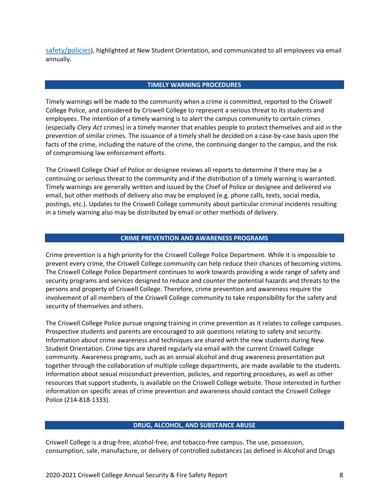[safety/policies](https://www.criswell.edu/life-at-criswell/housing-and-location/campus-safety/policies)), highlighted at New Student Orientation, and communicated to all employees via email annually.

#### **TIMELY WARNING PROCEDURES**

Timely warnings will be made to the community when a crime is committed, reported to the Criswell College Police, and considered by Criswell College to represent a serious threat to its students and employees. The intention of a timely warning is to alert the campus community to certain crimes (especially *Clery Act* crimes) in a timely manner that enables people to protect themselves and aid in the prevention of similar crimes. The issuance of a timely shall be decided on a case-by-case basis upon the facts of the crime, including the nature of the crime, the continuing danger to the campus, and the risk of compromising law enforcement efforts.

The Criswell College Chief of Police or designee reviews all reports to determine if there may be a continuing or serious threat to the community and if the distribution of a timely warning is warranted. Timely warnings are generally written and issued by the Chief of Police or designee and delivered via email, but other methods of delivery also may be employed (e.g. phone calls, texts, social media, postings, etc.). Updates to the Criswell College community about particular criminal incidents resulting in a timely warning also may be distributed by email or other methods of delivery.

# **CRIME PREVENTION AND AWARENESS PROGRAMS**

Crime prevention is a high priority for the Criswell College Police Department. While it is impossible to prevent every crime, the Criswell College community can help reduce their chances of becoming victims. The Criswell College Police Department continues to work towards providing a wide range of safety and security programs and services designed to reduce and counter the potential hazards and threats to the persons and property of Criswell College. Therefore, crime prevention and awareness require the involvement of all members of the Criswell College community to take responsibility for the safety and security of themselves and others.

The Criswell College Police pursue ongoing training in crime prevention as it relates to college campuses. Prospective students and parents are encouraged to ask questions relating to safety and security. Information about crime awareness and techniques are shared with the new students during New Student Orientation. Crime tips are shared regularly via email with the current Criswell College community. Awareness programs, such as an annual alcohol and drug awareness presentation put together through the collaboration of multiple college departments, are made available to the students. Information about sexual misconduct prevention, policies, and reporting procedures, as well as other resources that support students, is available on the Criswell College website. Those interested in further information on specific areas of crime prevention and awareness should contact the Criswell College Police (214-818-1333).

# **DRUG, ALCOHOL, AND SUBSTANCE ABUSE**

Criswell College is a drug-free, alcohol-free, and tobacco-free campus. The use, possession, consumption, sale, manufacture, or delivery of controlled substances (as defined in Alcohol and Drugs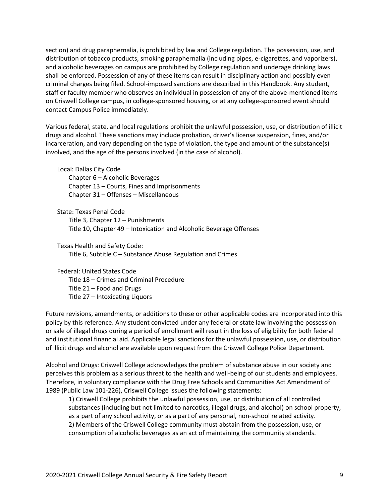section) and drug paraphernalia, is prohibited by law and College regulation. The possession, use, and distribution of tobacco products, smoking paraphernalia (including pipes, e-cigarettes, and vaporizers), and alcoholic beverages on campus are prohibited by College regulation and underage drinking laws shall be enforced. Possession of any of these items can result in disciplinary action and possibly even criminal charges being filed. School-imposed sanctions are described in this Handbook. Any student, staff or faculty member who observes an individual in possession of any of the above-mentioned items on Criswell College campus, in college-sponsored housing, or at any college-sponsored event should contact Campus Police immediately.

Various federal, state, and local regulations prohibit the unlawful possession, use, or distribution of illicit drugs and alcohol. These sanctions may include probation, driver's license suspension, fines, and/or incarceration, and vary depending on the type of violation, the type and amount of the substance(s) involved, and the age of the persons involved (in the case of alcohol).

Local: Dallas City Code

Chapter 6 – Alcoholic Beverages Chapter 13 – Courts, Fines and Imprisonments Chapter 31 – Offenses – Miscellaneous

State: Texas Penal Code

Title 3, Chapter 12 – Punishments

Title 10, Chapter 49 – Intoxication and Alcoholic Beverage Offenses

Texas Health and Safety Code: Title 6, Subtitle C – Substance Abuse Regulation and Crimes

Federal: United States Code Title 18 – Crimes and Criminal Procedure Title 21 – Food and Drugs Title 27 – Intoxicating Liquors

Future revisions, amendments, or additions to these or other applicable codes are incorporated into this policy by this reference. Any student convicted under any federal or state law involving the possession or sale of illegal drugs during a period of enrollment will result in the loss of eligibility for both federal and institutional financial aid. Applicable legal sanctions for the unlawful possession, use, or distribution of illicit drugs and alcohol are available upon request from the Criswell College Police Department.

Alcohol and Drugs: Criswell College acknowledges the problem of substance abuse in our society and perceives this problem as a serious threat to the health and well-being of our students and employees. Therefore, in voluntary compliance with the Drug Free Schools and Communities Act Amendment of 1989 (Public Law 101-226), Criswell College issues the following statements:

1) Criswell College prohibits the unlawful possession, use, or distribution of all controlled substances (including but not limited to narcotics, illegal drugs, and alcohol) on school property, as a part of any school activity, or as a part of any personal, non-school related activity. 2) Members of the Criswell College community must abstain from the possession, use, or consumption of alcoholic beverages as an act of maintaining the community standards.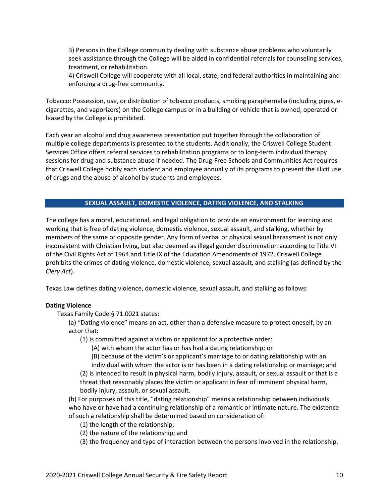3) Persons in the College community dealing with substance abuse problems who voluntarily seek assistance through the College will be aided in confidential referrals for counseling services, treatment, or rehabilitation.

4) Criswell College will cooperate with all local, state, and federal authorities in maintaining and enforcing a drug-free community.

Tobacco: Possession, use, or distribution of tobacco products, smoking paraphernalia (including pipes, ecigarettes, and vaporizers) on the College campus or in a building or vehicle that is owned, operated or leased by the College is prohibited.

Each year an alcohol and drug awareness presentation put together through the collaboration of multiple college departments is presented to the students. Additionally, the Criswell College Student Services Office offers referral services to rehabilitation programs or to long-term individual therapy sessions for drug and substance abuse if needed. The Drug-Free Schools and Communities Act requires that Criswell College notify each student and employee annually of its programs to prevent the illicit use of drugs and the abuse of alcohol by students and employees.

# **SEXUAL ASSAULT, DOMESTIC VIOLENCE, DATING VIOLENCE, AND STALKING**

The college has a moral, educational, and legal obligation to provide an environment for learning and working that is free of dating violence, domestic violence, sexual assault, and stalking, whether by members of the same or opposite gender. Any form of verbal or physical sexual harassment is not only inconsistent with Christian living, but also deemed as illegal gender discrimination according to Title VII of the Civil Rights Act of 1964 and Title IX of the Education Amendments of 1972. Criswell College prohibits the crimes of dating violence, domestic violence, sexual assault, and stalking (as defined by the *Clery Act*).

Texas Law defines dating violence, domestic violence, sexual assault, and stalking as follows:

# **Dating Violence**

Texas Family Code § 71.0021 states:

(a) "Dating violence" means an act, other than a defensive measure to protect oneself, by an actor that:

(1) is committed against a victim or applicant for a protective order:

(A) with whom the actor has or has had a dating relationship; or

(B) because of the victim's or applicant's marriage to or dating relationship with an individual with whom the actor is or has been in a dating relationship or marriage; and

(2) is intended to result in physical harm, bodily injury, assault, or sexual assault or that is a threat that reasonably places the victim or applicant in fear of imminent physical harm, bodily injury, assault, or sexual assault.

(b) For purposes of this title, "dating relationship" means a relationship between individuals who have or have had a continuing relationship of a romantic or intimate nature. The existence of such a relationship shall be determined based on consideration of:

- (1) the length of the relationship;
- (2) the nature of the relationship; and
- (3) the frequency and type of interaction between the persons involved in the relationship.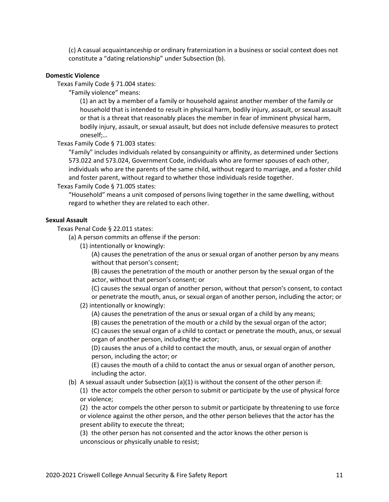(c) A casual acquaintanceship or ordinary fraternization in a business or social context does not constitute a "dating relationship" under Subsection (b).

#### **Domestic Violence**

Texas Family Code § 71.004 states:

"Family violence" means:

(1) an act by a member of a family or household against another member of the family or household that is intended to result in physical harm, bodily injury, assault, or sexual assault or that is a threat that reasonably places the member in fear of imminent physical harm, bodily injury, assault, or sexual assault, but does not include defensive measures to protect oneself;…

Texas Family Code § 71.003 states:

"Family" includes individuals related by consanguinity or affinity, as determined under Sections 573.022 and 573.024, Government Code, individuals who are former spouses of each other, individuals who are the parents of the same child, without regard to marriage, and a foster child and foster parent, without regard to whether those individuals reside together.

Texas Family Code § 71.005 states:

"Household" means a unit composed of persons living together in the same dwelling, without regard to whether they are related to each other.

# **Sexual Assault**

Texas Penal Code § 22.011 states:

(a) A person commits an offense if the person:

(1) intentionally or knowingly:

(A) causes the penetration of the anus or sexual organ of another person by any means without that person's consent;

(B) causes the penetration of the mouth or another person by the sexual organ of the actor, without that person's consent; or

(C) causes the sexual organ of another person, without that person's consent, to contact or penetrate the mouth, anus, or sexual organ of another person, including the actor; or

#### (2) intentionally or knowingly:

(A) causes the penetration of the anus or sexual organ of a child by any means;

(B) causes the penetration of the mouth or a child by the sexual organ of the actor;

(C) causes the sexual organ of a child to contact or penetrate the mouth, anus, or sexual organ of another person, including the actor;

(D) causes the anus of a child to contact the mouth, anus, or sexual organ of another person, including the actor; or

(E) causes the mouth of a child to contact the anus or sexual organ of another person, including the actor.

(b) A sexual assault under Subsection (a)(1) is without the consent of the other person if:

(1) the actor compels the other person to submit or participate by the use of physical force or violence;

(2) the actor compels the other person to submit or participate by threatening to use force or violence against the other person, and the other person believes that the actor has the present ability to execute the threat;

(3) the other person has not consented and the actor knows the other person is unconscious or physically unable to resist;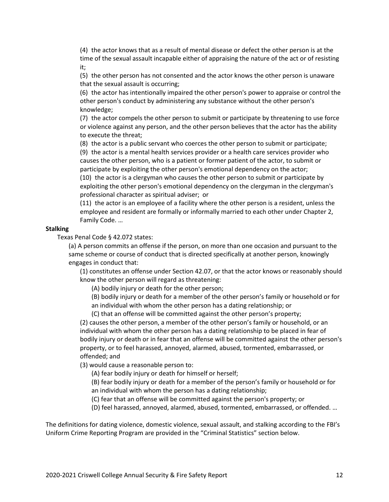(4) the actor knows that as a result of mental disease or defect the other person is at the time of the sexual assault incapable either of appraising the nature of the act or of resisting it;

(5) the other person has not consented and the actor knows the other person is unaware that the sexual assault is occurring;

(6) the actor has intentionally impaired the other person's power to appraise or control the other person's conduct by administering any substance without the other person's knowledge;

(7) the actor compels the other person to submit or participate by threatening to use force or violence against any person, and the other person believes that the actor has the ability to execute the threat;

(8) the actor is a public servant who coerces the other person to submit or participate;

(9) the actor is a mental health services provider or a health care services provider who causes the other person, who is a patient or former patient of the actor, to submit or participate by exploiting the other person's emotional dependency on the actor; (10) the actor is a clergyman who causes the other person to submit or participate by

exploiting the other person's emotional dependency on the clergyman in the clergyman's professional character as spiritual adviser;  or

(11) the actor is an employee of a facility where the other person is a resident, unless the employee and resident are formally or informally married to each other under Chapter 2, Family Code. …

#### **Stalking**

Texas Penal Code § 42.072 states:

(a) A person commits an offense if the person, on more than one occasion and pursuant to the same scheme or course of conduct that is directed specifically at another person, knowingly engages in conduct that:

(1) constitutes an offense under Section 42.07, or that the actor knows or reasonably should know the other person will regard as threatening:

(A) bodily injury or death for the other person;

(B) bodily injury or death for a member of the other person's family or household or for an individual with whom the other person has a dating relationship; or

(C) that an offense will be committed against the other person's property;

(2) causes the other person, a member of the other person's family or household, or an individual with whom the other person has a dating relationship to be placed in fear of bodily injury or death or in fear that an offense will be committed against the other person's property, or to feel harassed, annoyed, alarmed, abused, tormented, embarrassed, or offended; and

(3) would cause a reasonable person to:

(A) fear bodily injury or death for himself or herself;

(B) fear bodily injury or death for a member of the person's family or household or for an individual with whom the person has a dating relationship;

(C) fear that an offense will be committed against the person's property; or

(D) feel harassed, annoyed, alarmed, abused, tormented, embarrassed, or offended. …

The definitions for dating violence, domestic violence, sexual assault, and stalking according to the FBI's Uniform Crime Reporting Program are provided in the "Criminal Statistics" section below.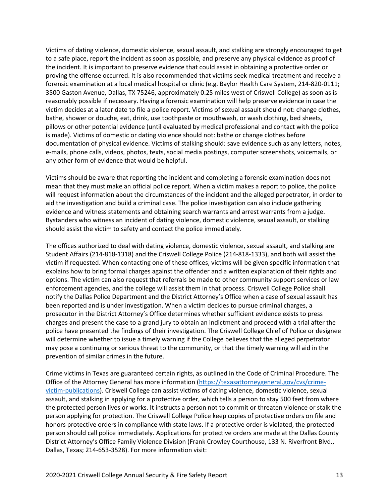Victims of dating violence, domestic violence, sexual assault, and stalking are strongly encouraged to get to a safe place, report the incident as soon as possible, and preserve any physical evidence as proof of the incident. It is important to preserve evidence that could assist in obtaining a protective order or proving the offense occurred. It is also recommended that victims seek medical treatment and receive a forensic examination at a local medical hospital or clinic (e.g. Baylor Health Care System, 214-820-0111; 3500 Gaston Avenue, Dallas, TX 75246, approximately 0.25 miles west of Criswell College) as soon as is reasonably possible if necessary. Having a forensic examination will help preserve evidence in case the victim decides at a later date to file a police report. Victims of sexual assault should not: change clothes, bathe, shower or douche, eat, drink, use toothpaste or mouthwash, or wash clothing, bed sheets, pillows or other potential evidence (until evaluated by medical professional and contact with the police is made). Victims of domestic or dating violence should not: bathe or change clothes before documentation of physical evidence. Victims of stalking should: save evidence such as any letters, notes, e-mails, phone calls, videos, photos, texts, social media postings, computer screenshots, voicemails, or any other form of evidence that would be helpful.

Victims should be aware that reporting the incident and completing a forensic examination does not mean that they must make an official police report. When a victim makes a report to police, the police will request information about the circumstances of the incident and the alleged perpetrator, in order to aid the investigation and build a criminal case. The police investigation can also include gathering evidence and witness statements and obtaining search warrants and arrest warrants from a judge. Bystanders who witness an incident of dating violence, domestic violence, sexual assault, or stalking should assist the victim to safety and contact the police immediately.

The offices authorized to deal with dating violence, domestic violence, sexual assault, and stalking are Student Affairs (214-818-1318) and the Criswell College Police (214-818-1333), and both will assist the victim if requested. When contacting one of these offices, victims will be given specific information that explains how to bring formal charges against the offender and a written explanation of their rights and options. The victim can also request that referrals be made to other community support services or law enforcement agencies, and the college will assist them in that process. Criswell College Police shall notify the Dallas Police Department and the District Attorney's Office when a case of sexual assault has been reported and is under investigation. When a victim decides to pursue criminal charges, a prosecutor in the District Attorney's Office determines whether sufficient evidence exists to press charges and present the case to a grand jury to obtain an indictment and proceed with a trial after the police have presented the findings of their investigation. The Criswell College Chief of Police or designee will determine whether to issue a timely warning if the College believes that the alleged perpetrator may pose a continuing or serious threat to the community, or that the timely warning will aid in the prevention of similar crimes in the future.

Crime victims in Texas are guaranteed certain rights, as outlined in the Code of Criminal Procedure. The Office of the Attorney General has more information [\(https://texasattorneygeneral.gov/cvs/crime](https://texasattorneygeneral.gov/cvs/crime-victim-publications)[victim-publications\)](https://texasattorneygeneral.gov/cvs/crime-victim-publications). Criswell College can assist victims of dating violence, domestic violence, sexual assault, and stalking in applying for a protective order, which tells a person to stay 500 feet from where the protected person lives or works. It instructs a person not to commit or threaten violence or stalk the person applying for protection. The Criswell College Police keep copies of protective orders on file and honors protective orders in compliance with state laws. If a protective order is violated, the protected person should call police immediately. Applications for protective orders are made at the Dallas County District Attorney's Office Family Violence Division (Frank Crowley Courthouse, 133 N. Riverfront Blvd., Dallas, Texas; 214-653-3528). For more information visit: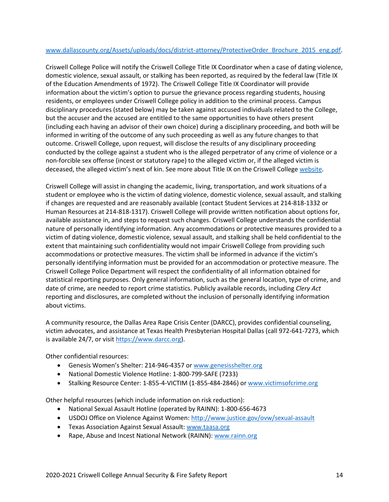# [www.dallascounty.org/Assets/uploads/docs/district-attorney/ProtectiveOrder\\_Brochure\\_2015\\_eng.pdf.](http://www.dallascounty.org/Assets/uploads/docs/district-attorney/ProtectiveOrder_Brochure_2015_eng.pdf)

Criswell College Police will notify the Criswell College Title IX Coordinator when a case of dating violence, domestic violence, sexual assault, or stalking has been reported, as required by the federal law (Title IX of the Education Amendments of 1972). The Criswell College Title IX Coordinator will provide information about the victim's option to pursue the grievance process regarding students, housing residents, or employees under Criswell College policy in addition to the criminal process. Campus disciplinary procedures (stated below) may be taken against accused individuals related to the College, but the accuser and the accused are entitled to the same opportunities to have others present (including each having an advisor of their own choice) during a disciplinary proceeding, and both will be informed in writing of the outcome of any such proceeding as well as any future changes to that outcome. Criswell College, upon request, will disclose the results of any disciplinary proceeding conducted by the college against a student who is the alleged perpetrator of any crime of violence or a non-forcible sex offense (incest or statutory rape) to the alleged victim or, if the alleged victim is deceased, the alleged victim's next of kin. See more about Title IX on the Criswell Colleg[e website.](http://www.criswell.edu/title-ix/)

Criswell College will assist in changing the academic, living, transportation, and work situations of a student or employee who is the victim of dating violence, domestic violence, sexual assault, and stalking if changes are requested and are reasonably available (contact Student Services at 214-818-1332 or Human Resources at 214-818-1317). Criswell College will provide written notification about options for, available assistance in, and steps to request such changes. Criswell College understands the confidential nature of personally identifying information. Any accommodations or protective measures provided to a victim of dating violence, domestic violence, sexual assault, and stalking shall be held confidential to the extent that maintaining such confidentiality would not impair Criswell College from providing such accommodations or protective measures. The victim shall be informed in advance if the victim's personally identifying information must be provided for an accommodation or protective measure. The Criswell College Police Department will respect the confidentiality of all information obtained for statistical reporting purposes. Only general information, such as the general location, type of crime, and date of crime, are needed to report crime statistics. Publicly available records, including *Clery Act*  reporting and disclosures, are completed without the inclusion of personally identifying information about victims.

A community resource, the Dallas Area Rape Crisis Center (DARCC), provides confidential counseling, victim advocates, and assistance at Texas Health Presbyterian Hospital Dallas (call 972-641-7273, which is available 24/7, or visit [https://www.darcc.org\)](https://www.darcc.org/).

Other confidential resources:

- Genesis Women's Shelter: 214-946-4357 or [www.genesisshelter.org](http://www.genesisshelter.org/)
- National Domestic Violence Hotline: 1-800-799-SAFE (7233)
- Stalking Resource Center: 1-855-4-VICTIM (1-855-484-2846) o[r www.victimsofcrime.org](http://www.victimsofcrime.org/)

Other helpful resources (which include information on risk reduction):

- National Sexual Assault Hotline (operated by RAINN): 1-800-656-4673
- USDOJ Office on Violence Against Women: <http://www.justice.gov/ovw/sexual-assault>
- Texas Association Against Sexual Assault[: www.taasa.org](http://www.taasa.org/)
- Rape, Abuse and Incest National Network (RAINN): [www.rainn.org](http://www.rainn.org/)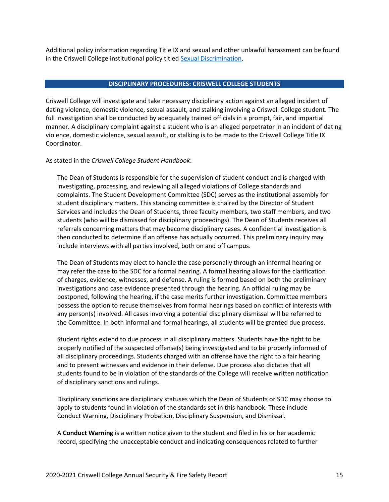Additional policy information regarding Title IX and sexual and other unlawful harassment can be found in the Criswell College institutional policy titled [Sexual Discrimination.](https://www.criswell.edu/wp-content/uploads/2021/01/policy.1.002.4.title-ix.A.pdf)

#### **DISCIPLINARY PROCEDURES: CRISWELL COLLEGE STUDENTS**

Criswell College will investigate and take necessary disciplinary action against an alleged incident of dating violence, domestic violence, sexual assault, and stalking involving a Criswell College student. The full investigation shall be conducted by adequately trained officials in a prompt, fair, and impartial manner. A disciplinary complaint against a student who is an alleged perpetrator in an incident of dating violence, domestic violence, sexual assault, or stalking is to be made to the Criswell College Title IX Coordinator.

As stated in the *Criswell College Student Handbook*:

The Dean of Students is responsible for the supervision of student conduct and is charged with investigating, processing, and reviewing all alleged violations of College standards and complaints. The Student Development Committee (SDC) serves as the institutional assembly for student disciplinary matters. This standing committee is chaired by the Director of Student Services and includes the Dean of Students, three faculty members, two staff members, and two students (who will be dismissed for disciplinary proceedings). The Dean of Students receives all referrals concerning matters that may become disciplinary cases. A confidential investigation is then conducted to determine if an offense has actually occurred. This preliminary inquiry may include interviews with all parties involved, both on and off campus.

The Dean of Students may elect to handle the case personally through an informal hearing or may refer the case to the SDC for a formal hearing. A formal hearing allows for the clarification of charges, evidence, witnesses, and defense. A ruling is formed based on both the preliminary investigations and case evidence presented through the hearing. An official ruling may be postponed, following the hearing, if the case merits further investigation. Committee members possess the option to recuse themselves from formal hearings based on conflict of interests with any person(s) involved. All cases involving a potential disciplinary dismissal will be referred to the Committee. In both informal and formal hearings, all students will be granted due process.

Student rights extend to due process in all disciplinary matters. Students have the right to be properly notified of the suspected offense(s) being investigated and to be properly informed of all disciplinary proceedings. Students charged with an offense have the right to a fair hearing and to present witnesses and evidence in their defense. Due process also dictates that all students found to be in violation of the standards of the College will receive written notification of disciplinary sanctions and rulings.

Disciplinary sanctions are disciplinary statuses which the Dean of Students or SDC may choose to apply to students found in violation of the standards set in this handbook. These include Conduct Warning, Disciplinary Probation, Disciplinary Suspension, and Dismissal.

A **Conduct Warning** is a written notice given to the student and filed in his or her academic record, specifying the unacceptable conduct and indicating consequences related to further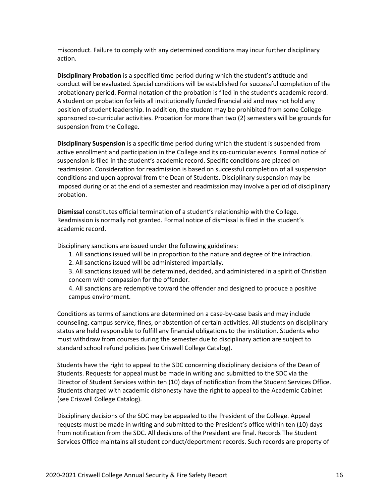misconduct. Failure to comply with any determined conditions may incur further disciplinary action.

**Disciplinary Probation** is a specified time period during which the student's attitude and conduct will be evaluated. Special conditions will be established for successful completion of the probationary period. Formal notation of the probation is filed in the student's academic record. A student on probation forfeits all institutionally funded financial aid and may not hold any position of student leadership. In addition, the student may be prohibited from some Collegesponsored co-curricular activities. Probation for more than two (2) semesters will be grounds for suspension from the College.

**Disciplinary Suspension** is a specific time period during which the student is suspended from active enrollment and participation in the College and its co-curricular events. Formal notice of suspension is filed in the student's academic record. Specific conditions are placed on readmission. Consideration for readmission is based on successful completion of all suspension conditions and upon approval from the Dean of Students. Disciplinary suspension may be imposed during or at the end of a semester and readmission may involve a period of disciplinary probation.

**Dismissal** constitutes official termination of a student's relationship with the College. Readmission is normally not granted. Formal notice of dismissal is filed in the student's academic record.

Disciplinary sanctions are issued under the following guidelines:

- 1. All sanctions issued will be in proportion to the nature and degree of the infraction.
- 2. All sanctions issued will be administered impartially.

3. All sanctions issued will be determined, decided, and administered in a spirit of Christian concern with compassion for the offender.

4. All sanctions are redemptive toward the offender and designed to produce a positive campus environment.

Conditions as terms of sanctions are determined on a case-by-case basis and may include counseling, campus service, fines, or abstention of certain activities. All students on disciplinary status are held responsible to fulfill any financial obligations to the institution. Students who must withdraw from courses during the semester due to disciplinary action are subject to standard school refund policies (see Criswell College Catalog).

Students have the right to appeal to the SDC concerning disciplinary decisions of the Dean of Students. Requests for appeal must be made in writing and submitted to the SDC via the Director of Student Services within ten (10) days of notification from the Student Services Office. Students charged with academic dishonesty have the right to appeal to the Academic Cabinet (see Criswell College Catalog).

Disciplinary decisions of the SDC may be appealed to the President of the College. Appeal requests must be made in writing and submitted to the President's office within ten (10) days from notification from the SDC. All decisions of the President are final. Records The Student Services Office maintains all student conduct/deportment records. Such records are property of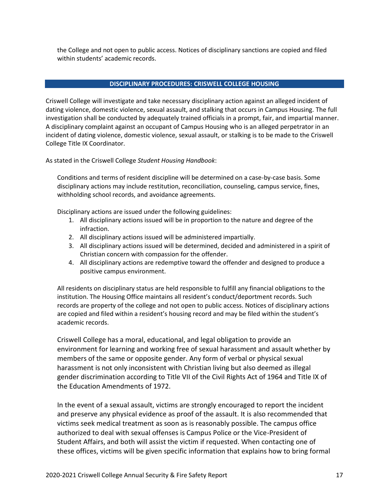the College and not open to public access. Notices of disciplinary sanctions are copied and filed within students' academic records.

# **DISCIPLINARY PROCEDURES: CRISWELL COLLEGE HOUSING**

Criswell College will investigate and take necessary disciplinary action against an alleged incident of dating violence, domestic violence, sexual assault, and stalking that occurs in Campus Housing. The full investigation shall be conducted by adequately trained officials in a prompt, fair, and impartial manner. A disciplinary complaint against an occupant of Campus Housing who is an alleged perpetrator in an incident of dating violence, domestic violence, sexual assault, or stalking is to be made to the Criswell College Title IX Coordinator.

As stated in the Criswell College *Student Housing Handbook*:

Conditions and terms of resident discipline will be determined on a case-by-case basis. Some disciplinary actions may include restitution, reconciliation, counseling, campus service, fines, withholding school records, and avoidance agreements.

Disciplinary actions are issued under the following guidelines:

- 1. All disciplinary actions issued will be in proportion to the nature and degree of the infraction.
- 2. All disciplinary actions issued will be administered impartially.
- 3. All disciplinary actions issued will be determined, decided and administered in a spirit of Christian concern with compassion for the offender.
- 4. All disciplinary actions are redemptive toward the offender and designed to produce a positive campus environment.

All residents on disciplinary status are held responsible to fulfill any financial obligations to the institution. The Housing Office maintains all resident's conduct/deportment records. Such records are property of the college and not open to public access. Notices of disciplinary actions are copied and filed within a resident's housing record and may be filed within the student's academic records.

Criswell College has a moral, educational, and legal obligation to provide an environment for learning and working free of sexual harassment and assault whether by members of the same or opposite gender. Any form of verbal or physical sexual harassment is not only inconsistent with Christian living but also deemed as illegal gender discrimination according to Title VII of the Civil Rights Act of 1964 and Title IX of the Education Amendments of 1972.

In the event of a sexual assault, victims are strongly encouraged to report the incident and preserve any physical evidence as proof of the assault. It is also recommended that victims seek medical treatment as soon as is reasonably possible. The campus office authorized to deal with sexual offenses is Campus Police or the Vice-President of Student Affairs, and both will assist the victim if requested. When contacting one of these offices, victims will be given specific information that explains how to bring formal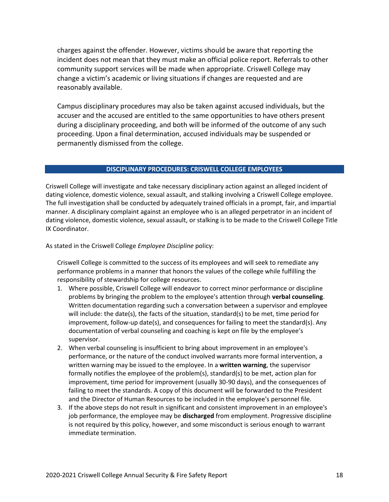charges against the offender. However, victims should be aware that reporting the incident does not mean that they must make an official police report. Referrals to other community support services will be made when appropriate. Criswell College may change a victim's academic or living situations if changes are requested and are reasonably available.

Campus disciplinary procedures may also be taken against accused individuals, but the accuser and the accused are entitled to the same opportunities to have others present during a disciplinary proceeding, and both will be informed of the outcome of any such proceeding. Upon a final determination, accused individuals may be suspended or permanently dismissed from the college.

#### **DISCIPLINARY PROCEDURES: CRISWELL COLLEGE EMPLOYEES**

Criswell College will investigate and take necessary disciplinary action against an alleged incident of dating violence, domestic violence, sexual assault, and stalking involving a Criswell College employee. The full investigation shall be conducted by adequately trained officials in a prompt, fair, and impartial manner. A disciplinary complaint against an employee who is an alleged perpetrator in an incident of dating violence, domestic violence, sexual assault, or stalking is to be made to the Criswell College Title IX Coordinator.

As stated in the Criswell College *Employee Discipline* policy:

Criswell College is committed to the success of its employees and will seek to remediate any performance problems in a manner that honors the values of the college while fulfilling the responsibility of stewardship for college resources.

- 1. Where possible, Criswell College will endeavor to correct minor performance or discipline problems by bringing the problem to the employee's attention through **verbal counseling**. Written documentation regarding such a conversation between a supervisor and employee will include: the date(s), the facts of the situation, standard(s) to be met, time period for improvement, follow-up date(s), and consequences for failing to meet the standard(s). Any documentation of verbal counseling and coaching is kept on file by the employee's supervisor.
- 2. When verbal counseling is insufficient to bring about improvement in an employee's performance, or the nature of the conduct involved warrants more formal intervention, a written warning may be issued to the employee. In a **written warning**, the supervisor formally notifies the employee of the problem(s), standard(s) to be met, action plan for improvement, time period for improvement (usually 30-90 days), and the consequences of failing to meet the standards. A copy of this document will be forwarded to the President and the Director of Human Resources to be included in the employee's personnel file.
- 3. If the above steps do not result in significant and consistent improvement in an employee's job performance, the employee may be **discharged** from employment. Progressive discipline is not required by this policy, however, and some misconduct is serious enough to warrant immediate termination.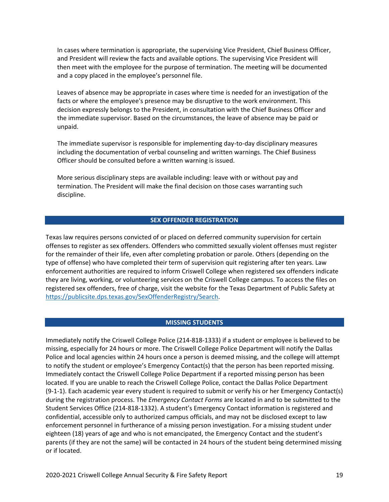In cases where termination is appropriate, the supervising Vice President, Chief Business Officer, and President will review the facts and available options. The supervising Vice President will then meet with the employee for the purpose of termination. The meeting will be documented and a copy placed in the employee's personnel file.

Leaves of absence may be appropriate in cases where time is needed for an investigation of the facts or where the employee's presence may be disruptive to the work environment. This decision expressly belongs to the President, in consultation with the Chief Business Officer and the immediate supervisor. Based on the circumstances, the leave of absence may be paid or unpaid.

The immediate supervisor is responsible for implementing day-to-day disciplinary measures including the documentation of verbal counseling and written warnings. The Chief Business Officer should be consulted before a written warning is issued.

More serious disciplinary steps are available including: leave with or without pay and termination. The President will make the final decision on those cases warranting such discipline.

#### **SEX OFFENDER REGISTRATION**

Texas law requires persons convicted of or placed on deferred community supervision for certain offenses to register as sex offenders. Offenders who committed sexually violent offenses must register for the remainder of their life, even after completing probation or parole. Others (depending on the type of offense) who have completed their term of supervision quit registering after ten years. Law enforcement authorities are required to inform Criswell College when registered sex offenders indicate they are living, working, or volunteering services on the Criswell College campus. To access the files on registered sex offenders, free of charge, visit the website for the Texas Department of Public Safety at [https://publicsite.dps.texas.gov/SexOffenderRegistry/Search.](https://publicsite.dps.texas.gov/SexOffenderRegistry/Search)

#### **MISSING STUDENTS**

Immediately notify the Criswell College Police (214-818-1333) if a student or employee is believed to be missing, especially for 24 hours or more. The Criswell College Police Department will notify the Dallas Police and local agencies within 24 hours once a person is deemed missing, and the college will attempt to notify the student or employee's Emergency Contact(s) that the person has been reported missing. Immediately contact the Criswell College Police Department if a reported missing person has been located. If you are unable to reach the Criswell College Police, contact the Dallas Police Department (9-1-1). Each academic year every student is required to submit or verify his or her Emergency Contact(s) during the registration process. The *Emergency Contact Forms* are located in and to be submitted to the Student Services Office (214-818-1332). A student's Emergency Contact information is registered and confidential, accessible only to authorized campus officials, and may not be disclosed except to law enforcement personnel in furtherance of a missing person investigation. For a missing student under eighteen (18) years of age and who is not emancipated, the Emergency Contact and the student's parents (if they are not the same) will be contacted in 24 hours of the student being determined missing or if located.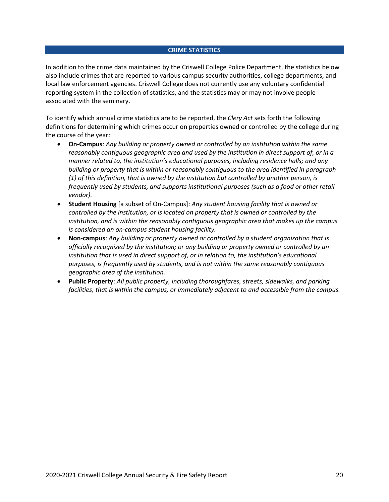#### **CRIME STATISTICS**

In addition to the crime data maintained by the Criswell College Police Department, the statistics below also include crimes that are reported to various campus security authorities, college departments, and local law enforcement agencies. Criswell College does not currently use any voluntary confidential reporting system in the collection of statistics, and the statistics may or may not involve people associated with the seminary.

To identify which annual crime statistics are to be reported, the *Clery Act* sets forth the following definitions for determining which crimes occur on properties owned or controlled by the college during the course of the year:

- **On-Campus**: *Any building or property owned or controlled by an institution within the same reasonably contiguous geographic area and used by the institution in direct support of, or in a manner related to, the institution's educational purposes, including residence halls; and any building or property that is within or reasonably contiguous to the area identified in paragraph (1) of this definition, that is owned by the institution but controlled by another person, is frequently used by students, and supports institutional purposes (such as a food or other retail vendor).*
- **Student Housing** [a subset of On-Campus]: *Any student housing facility that is owned or controlled by the institution, or is located on property that is owned or controlled by the institution, and is within the reasonably contiguous geographic area that makes up the campus is considered an on-campus student housing facility.*
- **Non-campus**: *Any building or property owned or controlled by a student organization that is officially recognized by the institution; or any building or property owned or controlled by an institution that is used in direct support of, or in relation to, the institution's educational purposes, is frequently used by students, and is not within the same reasonably contiguous geographic area of the institution.*
- **Public Property**: *All public property, including thoroughfares, streets, sidewalks, and parking facilities, that is within the campus, or immediately adjacent to and accessible from the campus.*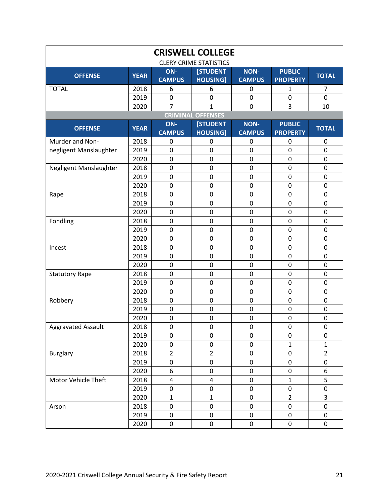| <b>CRISWELL COLLEGE</b><br><b>CLERY CRIME STATISTICS</b> |             |                         |                 |               |                 |                |  |  |  |  |
|----------------------------------------------------------|-------------|-------------------------|-----------------|---------------|-----------------|----------------|--|--|--|--|
| ON-<br><b>NON-</b><br>[STUDENT<br><b>PUBLIC</b>          |             |                         |                 |               |                 |                |  |  |  |  |
| <b>OFFENSE</b>                                           | <b>YEAR</b> | <b>CAMPUS</b>           | <b>HOUSING]</b> | <b>CAMPUS</b> | <b>PROPERTY</b> | <b>TOTAL</b>   |  |  |  |  |
| <b>TOTAL</b>                                             | 2018        | 6                       | 6               | 0             | 1               | 7              |  |  |  |  |
|                                                          | 2019        | $\pmb{0}$               | $\mathbf 0$     | $\mathbf 0$   | $\mathbf 0$     | $\mathbf 0$    |  |  |  |  |
|                                                          | 2020        | $\overline{7}$          | 1               | $\mathbf 0$   | 3               | 10             |  |  |  |  |
| <b>CRIMINAL OFFENSES</b>                                 |             |                         |                 |               |                 |                |  |  |  |  |
| <b>OFFENSE</b>                                           | <b>YEAR</b> | ON-                     | <b>[STUDENT</b> | <b>NON-</b>   | <b>PUBLIC</b>   | <b>TOTAL</b>   |  |  |  |  |
|                                                          |             | <b>CAMPUS</b>           | <b>HOUSING</b>  | <b>CAMPUS</b> | <b>PROPERTY</b> |                |  |  |  |  |
| Murder and Non-                                          | 2018        | 0                       | 0               | 0             | 0               | 0              |  |  |  |  |
| negligent Manslaughter                                   | 2019        | $\mathbf 0$             | $\mathbf 0$     | $\mathbf 0$   | $\mathbf 0$     | $\pmb{0}$      |  |  |  |  |
|                                                          | 2020        | $\pmb{0}$               | $\mathbf 0$     | $\mathbf 0$   | $\mathbf 0$     | $\pmb{0}$      |  |  |  |  |
| Negligent Manslaughter                                   | 2018        | $\mathbf 0$             | $\pmb{0}$       | $\mathbf 0$   | $\mathbf 0$     | $\pmb{0}$      |  |  |  |  |
|                                                          | 2019        | $\mathbf 0$             | $\mathbf 0$     | $\mathbf 0$   | $\mathbf 0$     | $\mathbf 0$    |  |  |  |  |
|                                                          | 2020        | $\mathbf 0$             | $\mathbf 0$     | $\mathbf 0$   | $\mathbf 0$     | $\mathbf 0$    |  |  |  |  |
| Rape                                                     | 2018        | 0                       | $\mathbf 0$     | $\mathbf 0$   | 0               | $\pmb{0}$      |  |  |  |  |
|                                                          | 2019        | $\mathbf 0$             | $\mathbf 0$     | $\mathbf 0$   | $\mathbf 0$     | $\mathbf 0$    |  |  |  |  |
|                                                          | 2020        | $\mathbf 0$             | $\mathbf 0$     | $\mathbf 0$   | $\mathbf 0$     | $\pmb{0}$      |  |  |  |  |
| Fondling                                                 | 2018        | 0                       | $\mathbf 0$     | $\mathbf 0$   | $\mathbf 0$     | $\pmb{0}$      |  |  |  |  |
|                                                          | 2019        | $\mathbf 0$             | $\mathbf 0$     | $\mathbf 0$   | $\overline{0}$  | $\mathbf 0$    |  |  |  |  |
|                                                          | 2020        | $\mathbf 0$             | $\mathbf 0$     | $\mathbf 0$   | $\mathbf 0$     | $\mathbf 0$    |  |  |  |  |
| Incest                                                   | 2018        | 0                       | $\mathbf 0$     | $\mathbf 0$   | $\mathbf 0$     | $\pmb{0}$      |  |  |  |  |
|                                                          | 2019        | $\mathbf 0$             | $\mathbf 0$     | $\mathbf 0$   | $\mathbf 0$     | $\mathbf 0$    |  |  |  |  |
|                                                          | 2020        | $\pmb{0}$               | $\mathbf 0$     | $\mathbf 0$   | $\mathbf 0$     | $\pmb{0}$      |  |  |  |  |
| <b>Statutory Rape</b>                                    | 2018        | $\pmb{0}$               | $\mathbf 0$     | $\mathbf 0$   | $\mathbf 0$     | $\pmb{0}$      |  |  |  |  |
|                                                          | 2019        | $\mathbf 0$             | $\mathbf 0$     | $\mathbf 0$   | $\mathbf 0$     | $\mathbf 0$    |  |  |  |  |
|                                                          | 2020        | $\mathbf 0$             | 0               | $\mathbf 0$   | $\mathbf 0$     | $\mathbf 0$    |  |  |  |  |
| Robbery                                                  | 2018        | 0                       | 0               | $\mathbf 0$   | $\mathbf 0$     | $\pmb{0}$      |  |  |  |  |
|                                                          | 2019        | $\mathbf 0$             | $\mathbf 0$     | $\mathbf 0$   | $\mathbf 0$     | $\pmb{0}$      |  |  |  |  |
|                                                          | 2020        | $\pmb{0}$               | $\mathbf 0$     | $\pmb{0}$     | $\pmb{0}$       | $\pmb{0}$      |  |  |  |  |
| <b>Aggravated Assault</b>                                | 2018        | $\pmb{0}$               | 0               | $\pmb{0}$     | $\Omega$        | $\pmb{0}$      |  |  |  |  |
|                                                          | 2019        | 0                       | 0               | 0             | $\mathbf 0$     | 0              |  |  |  |  |
|                                                          | 2020        | 0                       | $\pmb{0}$       | $\pmb{0}$     | $\mathbf 1$     | $\mathbf{1}$   |  |  |  |  |
| <b>Burglary</b>                                          | 2018        | $\overline{2}$          | $\overline{2}$  | $\pmb{0}$     | $\pmb{0}$       | $\overline{2}$ |  |  |  |  |
|                                                          | 2019        | 0                       | $\mathbf 0$     | $\pmb{0}$     | $\pmb{0}$       | $\pmb{0}$      |  |  |  |  |
|                                                          | 2020        | 6                       | 0               | $\pmb{0}$     | $\pmb{0}$       | 6              |  |  |  |  |
| Motor Vehicle Theft                                      | 2018        | $\overline{\mathbf{4}}$ | 4               | $\pmb{0}$     | $\mathbf{1}$    | 5              |  |  |  |  |
|                                                          | 2019        | 0                       | 0               | $\pmb{0}$     | 0               | 0              |  |  |  |  |
|                                                          | 2020        | $\mathbf{1}$            | $\mathbf{1}$    | $\pmb{0}$     | $\overline{2}$  | 3              |  |  |  |  |
| Arson                                                    | 2018        | $\pmb{0}$               | $\pmb{0}$       | $\pmb{0}$     | $\pmb{0}$       | $\pmb{0}$      |  |  |  |  |
|                                                          | 2019        | 0                       | $\pmb{0}$       | $\pmb{0}$     | $\pmb{0}$       | $\pmb{0}$      |  |  |  |  |
|                                                          | 2020        | 0                       | 0               | $\pmb{0}$     | $\pmb{0}$       | $\pmb{0}$      |  |  |  |  |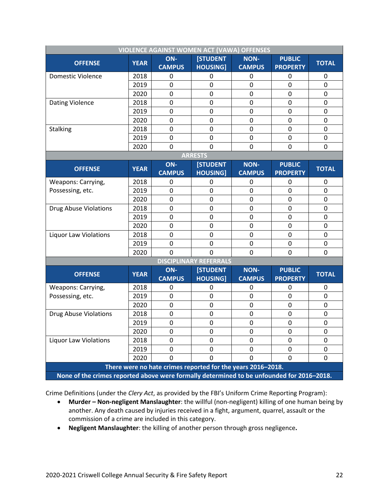| <b>VIOLENCE AGAINST WOMEN ACT (VAWA) OFFENSES</b>                                         |                                                                                                           |                      |                                    |                              |                                  |                          |  |  |  |  |  |
|-------------------------------------------------------------------------------------------|-----------------------------------------------------------------------------------------------------------|----------------------|------------------------------------|------------------------------|----------------------------------|--------------------------|--|--|--|--|--|
| <b>OFFENSE</b>                                                                            | <b>YEAR</b>                                                                                               | ON-<br><b>CAMPUS</b> | <b>[STUDENT</b><br><b>HOUSING]</b> | <b>NON-</b><br><b>CAMPUS</b> | <b>PUBLIC</b><br><b>PROPERTY</b> | <b>TOTAL</b>             |  |  |  |  |  |
| <b>Domestic Violence</b>                                                                  | 2018                                                                                                      | 0                    | 0                                  | 0                            | 0                                | 0                        |  |  |  |  |  |
|                                                                                           | 2019                                                                                                      | 0                    | 0                                  | 0                            | $\overline{0}$                   | $\mathbf 0$              |  |  |  |  |  |
|                                                                                           | 2020                                                                                                      | 0                    | 0                                  | $\mathbf 0$                  | 0                                | 0                        |  |  |  |  |  |
| Dating Violence                                                                           | 2018                                                                                                      | 0                    | 0                                  | $\mathbf 0$                  | $\mathbf 0$                      | 0                        |  |  |  |  |  |
|                                                                                           | 2019                                                                                                      | 0                    | $\pmb{0}$                          | $\mathbf 0$                  | $\mathbf 0$                      | $\pmb{0}$                |  |  |  |  |  |
|                                                                                           | 2020                                                                                                      | 0                    | 0                                  | $\mathbf 0$                  | $\mathbf 0$                      | $\pmb{0}$                |  |  |  |  |  |
| <b>Stalking</b>                                                                           | 2018                                                                                                      | $\mathbf 0$          | $\mathbf 0$                        | $\mathbf 0$                  | $\mathbf 0$                      | $\mathbf 0$              |  |  |  |  |  |
|                                                                                           | 2019                                                                                                      | 0                    | $\mathbf 0$                        | $\mathbf 0$                  | $\mathbf 0$                      | $\mathbf 0$              |  |  |  |  |  |
|                                                                                           | 2020                                                                                                      | 0                    | 0                                  | 0                            | 0                                | 0                        |  |  |  |  |  |
| <b>ARRESTS</b>                                                                            |                                                                                                           |                      |                                    |                              |                                  |                          |  |  |  |  |  |
| <b>OFFENSE</b>                                                                            | <b>YEAR</b>                                                                                               | ON-                  | <b>[STUDENT</b>                    | <b>NON-</b>                  | <b>PUBLIC</b>                    | <b>TOTAL</b>             |  |  |  |  |  |
|                                                                                           |                                                                                                           | <b>CAMPUS</b>        | <b>HOUSING</b>                     | <b>CAMPUS</b>                | <b>PROPERTY</b>                  |                          |  |  |  |  |  |
| Weapons: Carrying,                                                                        | 2018                                                                                                      | 0                    | 0                                  | 0                            | 0                                | 0                        |  |  |  |  |  |
| Possessing, etc.                                                                          | 2019                                                                                                      | 0                    | 0                                  | 0                            | $\mathbf 0$                      | 0                        |  |  |  |  |  |
|                                                                                           | 2020                                                                                                      | 0                    | 0                                  | $\mathbf 0$                  | 0                                | 0                        |  |  |  |  |  |
| <b>Drug Abuse Violations</b>                                                              | 2018                                                                                                      | 0                    | $\mathbf 0$                        | $\mathbf 0$                  | $\mathbf 0$                      | $\mathbf 0$              |  |  |  |  |  |
|                                                                                           | 2019                                                                                                      | 0                    | $\mathbf 0$<br>0                   | 0                            | $\mathbf 0$<br>$\mathbf 0$       | $\mathbf 0$              |  |  |  |  |  |
| <b>Liquor Law Violations</b>                                                              | 2020<br>2018                                                                                              | 0<br>0               | 0                                  | $\mathbf 0$<br>$\mathbf 0$   | $\mathbf 0$                      | $\pmb{0}$<br>$\mathbf 0$ |  |  |  |  |  |
|                                                                                           | 2019                                                                                                      | 0                    | 0                                  | 0                            | $\mathbf 0$                      | $\mathbf 0$              |  |  |  |  |  |
|                                                                                           |                                                                                                           |                      |                                    |                              |                                  |                          |  |  |  |  |  |
|                                                                                           | 0<br>$\overline{0}$<br>$\mathbf 0$<br>$\mathbf 0$<br>2020<br>$\mathbf 0$<br><b>DISCIPLINARY REFERRALS</b> |                      |                                    |                              |                                  |                          |  |  |  |  |  |
|                                                                                           |                                                                                                           | $ON-$                | <b>[STUDENT</b>                    | <b>NON-</b>                  | <b>PUBLIC</b>                    |                          |  |  |  |  |  |
| <b>OFFENSE</b>                                                                            | <b>YEAR</b>                                                                                               | <b>CAMPUS</b>        | <b>HOUSING]</b>                    | <b>CAMPUS</b>                | <b>PROPERTY</b>                  | <b>TOTAL</b>             |  |  |  |  |  |
| <b>Weapons: Carrying,</b>                                                                 | 2018                                                                                                      | 0                    | 0                                  | 0                            | 0                                | 0                        |  |  |  |  |  |
| Possessing, etc.                                                                          | 2019                                                                                                      | 0                    | 0                                  | $\mathbf 0$                  | $\mathbf 0$                      | 0                        |  |  |  |  |  |
|                                                                                           | 2020                                                                                                      | 0                    | 0                                  | $\mathbf 0$                  | $\overline{0}$                   | $\mathbf 0$              |  |  |  |  |  |
| <b>Drug Abuse Violations</b>                                                              | 2018                                                                                                      | 0                    | 0                                  | 0                            | 0                                | 0                        |  |  |  |  |  |
|                                                                                           | 2019                                                                                                      | 0                    | 0                                  | $\mathbf 0$                  | $\mathbf 0$                      | $\mathbf 0$              |  |  |  |  |  |
|                                                                                           | 2020                                                                                                      | 0                    | 0                                  | 0                            | $\mathbf 0$                      | 0                        |  |  |  |  |  |
| <b>Liquor Law Violations</b>                                                              | 2018                                                                                                      | 0                    | 0                                  | 0                            | $\mathbf 0$                      | 0                        |  |  |  |  |  |
|                                                                                           | 2019                                                                                                      | $\mathbf{0}$         | 0                                  | 0                            | 0                                | 0                        |  |  |  |  |  |
|                                                                                           | 2020                                                                                                      | 0                    | 0                                  | 0                            | $\mathbf 0$                      | 0                        |  |  |  |  |  |
| There were no hate crimes reported for the years 2016-2018.                               |                                                                                                           |                      |                                    |                              |                                  |                          |  |  |  |  |  |
| None of the crimes reported above were formally determined to be unfounded for 2016-2018. |                                                                                                           |                      |                                    |                              |                                  |                          |  |  |  |  |  |

Crime Definitions (under the *Clery Act*, as provided by the FBI's Uniform Crime Reporting Program):

- **Murder – Non-negligent Manslaughter**: the willful (non-negligent) killing of one human being by another. Any death caused by injuries received in a fight, argument, quarrel, assault or the commission of a crime are included in this category.
- **Negligent Manslaughter**: the killing of another person through gross negligence**.**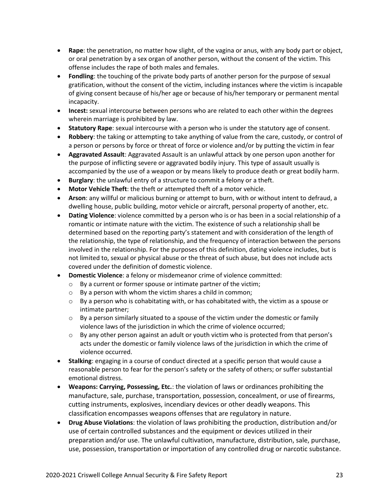- **Rape**: the penetration, no matter how slight, of the vagina or anus, with any body part or object, or oral penetration by a sex organ of another person, without the consent of the victim. This offense includes the rape of both males and females.
- **Fondling**: the touching of the private body parts of another person for the purpose of sexual gratification, without the consent of the victim, including instances where the victim is incapable of giving consent because of his/her age or because of his/her temporary or permanent mental incapacity.
- **Incest:** sexual intercourse between persons who are related to each other within the degrees wherein marriage is prohibited by law.
- **Statutory Rape**: sexual intercourse with a person who is under the statutory age of consent.
- **Robbery**: the taking or attempting to take anything of value from the care, custody, or control of a person or persons by force or threat of force or violence and/or by putting the victim in fear
- **Aggravated Assault**: Aggravated Assault is an unlawful attack by one person upon another for the purpose of inflicting severe or aggravated bodily injury. This type of assault usually is accompanied by the use of a weapon or by means likely to produce death or great bodily harm.
- **Burglary**: the unlawful entry of a structure to commit a felony or a theft.
- **Motor Vehicle Theft**: the theft or attempted theft of a motor vehicle.
- **Arson**: any willful or malicious burning or attempt to burn, with or without intent to defraud, a dwelling house, public building, motor vehicle or aircraft, personal property of another, etc.
- **Dating Violence**: violence committed by a person who is or has been in a social relationship of a romantic or intimate nature with the victim. The existence of such a relationship shall be determined based on the reporting party's statement and with consideration of the length of the relationship, the type of relationship, and the frequency of interaction between the persons involved in the relationship. For the purposes of this definition, dating violence includes, but is not limited to, sexual or physical abuse or the threat of such abuse, but does not include acts covered under the definition of domestic violence.
- **Domestic Violence**: a felony or misdemeanor crime of violence committed:
	- o By a current or former spouse or intimate partner of the victim;
	- o By a person with whom the victim shares a child in common;
	- $\circ$  By a person who is cohabitating with, or has cohabitated with, the victim as a spouse or intimate partner;
	- $\circ$  By a person similarly situated to a spouse of the victim under the domestic or family violence laws of the jurisdiction in which the crime of violence occurred;
	- $\circ$  By any other person against an adult or youth victim who is protected from that person's acts under the domestic or family violence laws of the jurisdiction in which the crime of violence occurred.
- **Stalking**: engaging in a course of conduct directed at a specific person that would cause a reasonable person to fear for the person's safety or the safety of others; or suffer substantial emotional distress.
- **Weapons: Carrying, Possessing, Etc.**: the violation of laws or ordinances prohibiting the manufacture, sale, purchase, transportation, possession, concealment, or use of firearms, cutting instruments, explosives, incendiary devices or other deadly weapons. This classification encompasses weapons offenses that are regulatory in nature.
- **Drug Abuse Violations**: the violation of laws prohibiting the production, distribution and/or use of certain controlled substances and the equipment or devices utilized in their preparation and/or use. The unlawful cultivation, manufacture, distribution, sale, purchase, use, possession, transportation or importation of any controlled drug or narcotic substance.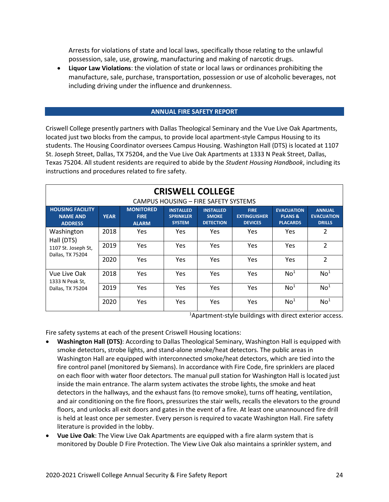Arrests for violations of state and local laws, specifically those relating to the unlawful possession, sale, use, growing, manufacturing and making of narcotic drugs.

• **Liquor Law Violations**: the violation of state or local laws or ordinances prohibiting the manufacture, sale, purchase, transportation, possession or use of alcoholic beverages, not including driving under the influence and drunkenness.

# **ANNUAL FIRE SAFETY REPORT**

Criswell College presently partners with Dallas Theological Seminary and the Vue Live Oak Apartments, located just two blocks from the campus, to provide local apartment-style Campus Housing to its students. The Housing Coordinator oversees Campus Housing. Washington Hall (DTS) is located at 1107 St. Joseph Street, Dallas, TX 75204, and the Vue Live Oak Apartments at 1333 N Peak Street, Dallas, Texas 75204. All student residents are required to abide by the *Student Housing Handbook*, including its instructions and procedures related to fire safety.

| <b>CRISWELL COLLEGE</b><br>CAMPUS HOUSING - FIRE SAFETY SYSTEMS     |             |                                                 |                                                       |                                                      |                                                      |                                                            |                                                     |  |  |
|---------------------------------------------------------------------|-------------|-------------------------------------------------|-------------------------------------------------------|------------------------------------------------------|------------------------------------------------------|------------------------------------------------------------|-----------------------------------------------------|--|--|
| <b>HOUSING FACILITY</b><br><b>NAME AND</b><br><b>ADDRESS</b>        | <b>YEAR</b> | <b>MONITORED</b><br><b>FIRE</b><br><b>ALARM</b> | <b>INSTALLED</b><br><b>SPRINKLER</b><br><b>SYSTEM</b> | <b>INSTALLED</b><br><b>SMOKE</b><br><b>DETECTION</b> | <b>FIRE</b><br><b>EXTINGUISHER</b><br><b>DEVICES</b> | <b>EVACUATION</b><br><b>PLANS &amp;</b><br><b>PLACARDS</b> | <b>ANNUAL</b><br><b>EVACUATION</b><br><b>DRILLS</b> |  |  |
| Washington<br>Hall (DTS)<br>1107 St. Joseph St,<br>Dallas, TX 75204 | 2018        | Yes                                             | Yes                                                   | Yes                                                  | <b>Yes</b>                                           |                                                            | 2                                                   |  |  |
|                                                                     | 2019        | Yes                                             | Yes                                                   | Yes                                                  | <b>Yes</b>                                           | Yes                                                        | $\overline{2}$                                      |  |  |
|                                                                     | 2020        | Yes                                             | Yes                                                   | Yes                                                  | <b>Yes</b>                                           | <b>Yes</b>                                                 | $\overline{2}$                                      |  |  |
| Vue Live Oak<br>1333 N Peak St,<br>Dallas, TX 75204                 | 2018        | Yes                                             | Yes                                                   | Yes                                                  | <b>Yes</b>                                           | No <sup>1</sup>                                            | No <sup>1</sup>                                     |  |  |
|                                                                     | 2019        | Yes                                             | Yes                                                   | Yes                                                  | <b>Yes</b>                                           | No <sup>1</sup>                                            | No <sup>1</sup>                                     |  |  |
|                                                                     | 2020        | Yes                                             | Yes                                                   | Yes                                                  | Yes                                                  | No <sup>1</sup>                                            | No <sup>1</sup>                                     |  |  |

<sup>1</sup>Apartment-style buildings with direct exterior access.

Fire safety systems at each of the present Criswell Housing locations:

- **Washington Hall (DTS)**: According to Dallas Theological Seminary, Washington Hall is equipped with smoke detectors, strobe lights, and stand-alone smoke/heat detectors. The public areas in Washington Hall are equipped with interconnected smoke/heat detectors, which are tied into the fire control panel (monitored by Siemans). In accordance with Fire Code, fire sprinklers are placed on each floor with water floor detectors. The manual pull station for Washington Hall is located just inside the main entrance. The alarm system activates the strobe lights, the smoke and heat detectors in the hallways, and the exhaust fans (to remove smoke), turns off heating, ventilation, and air conditioning on the fire floors, pressurizes the stair wells, recalls the elevators to the ground floors, and unlocks all exit doors and gates in the event of a fire. At least one unannounced fire drill is held at least once per semester. Every person is required to vacate Washington Hall. Fire safety literature is provided in the lobby.
- **Vue Live Oak**: The View Live Oak Apartments are equipped with a fire alarm system that is monitored by Double D Fire Protection. The View Live Oak also maintains a sprinkler system, and